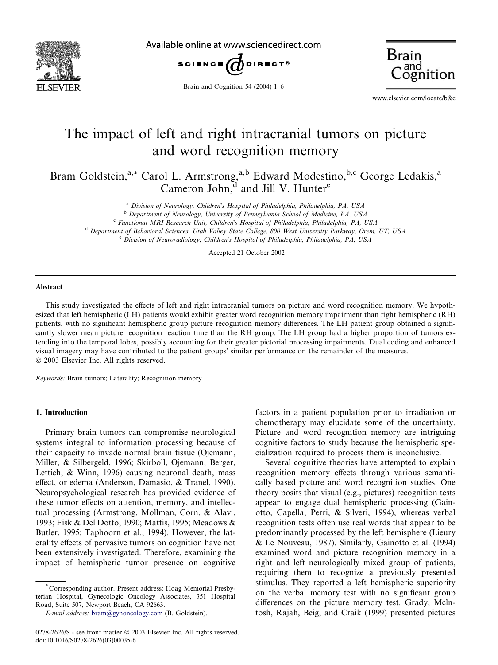

Available online at www.sciencedirect.com





Brain and Cognition 54 (2004) 1–6

www.elsevier.com/locate/b&c

# The impact of left and right intracranial tumors on picture and word recognition memory

Bram Goldstein,<sup>a,\*</sup> Carol L. Armstrong,<sup>a,b</sup> Edward Modestino,<sup>b,c</sup> George Ledakis,<sup>a</sup> Cameron John, $\tilde{d}$  and Jill V. Hunter<sup>e</sup>

<sup>a</sup> Division of Neurology, Children's Hospital of Philadelphia, Philadelphia, PA, USA<br><sup>b</sup> Department of Neurology, University of Pennsylvania School of Medicine, PA, USA<br><sup>c</sup> Functional MRI Research Unit, Children's Hospit

<sup>d</sup> Department of Behavioral Sciences, Utah Valley State College, 800 West University Parkway, Orem, UT, USA

 $e^e$  Division of Neuroradiology, Children's Hospital of Philadelphia, Philadelphia, PA, USA

Accepted 21 October 2002

#### Abstract

This study investigated the effects of left and right intracranial tumors on picture and word recognition memory. We hypothesized that left hemispheric (LH) patients would exhibit greater word recognition memory impairment than right hemispheric (RH) patients, with no significant hemispheric group picture recognition memory differences. The LH patient group obtained a significantly slower mean picture recognition reaction time than the RH group. The LH group had a higher proportion of tumors extending into the temporal lobes, possibly accounting for their greater pictorial processing impairments. Dual coding and enhanced visual imagery may have contributed to the patient groups' similar performance on the remainder of the measures. 2003 Elsevier Inc. All rights reserved.

Keywords: Brain tumors; Laterality; Recognition memory

## 1. Introduction

Primary brain tumors can compromise neurological systems integral to information processing because of their capacity to invade normal brain tissue (Ojemann, Miller, & Silbergeld, 1996; Skirboll, Ojemann, Berger, Lettich, & Winn, 1996) causing neuronal death, mass effect, or edema (Anderson, Damasio, & Tranel, 1990). Neuropsychological research has provided evidence of these tumor effects on attention, memory, and intellectual processing (Armstrong, Mollman, Corn, & Alavi, 1993; Fisk & Del Dotto, 1990; Mattis, 1995; Meadows & Butler, 1995; Taphoorn et al., 1994). However, the laterality effects of pervasive tumors on cognition have not been extensively investigated. Therefore, examining the impact of hemispheric tumor presence on cognitive

\* Corresponding author. Present address: Hoag Memorial Presbyterian Hospital, Gynecologic Oncology Associates, 351 Hospital Road, Suite 507, Newport Beach, CA 92663.

factors in a patient population prior to irradiation or chemotherapy may elucidate some of the uncertainty. Picture and word recognition memory are intriguing cognitive factors to study because the hemispheric specialization required to process them is inconclusive.

Several cognitive theories have attempted to explain recognition memory effects through various semantically based picture and word recognition studies. One theory posits that visual (e.g., pictures) recognition tests appear to engage dual hemispheric processing (Gainotto, Capella, Perri, & Silveri, 1994), whereas verbal recognition tests often use real words that appear to be predominantly processed by the left hemisphere (Lieury & Le Nouveau, 1987). Similarly, Gainotto et al. (1994) examined word and picture recognition memory in a right and left neurologically mixed group of patients, requiring them to recognize a previously presented stimulus. They reported a left hemispheric superiority on the verbal memory test with no significant group differences on the picture memory test. Grady, Mclntosh, Rajah, Beig, and Craik (1999) presented pictures

E-mail address: [bram@gynoncology.com](mail to: bram@gynoncology.com) (B. Goldstein).

<sup>0278-2626/\$ -</sup> see front matter © 2003 Elsevier Inc. All rights reserved. doi:10.1016/S0278-2626(03)00035-6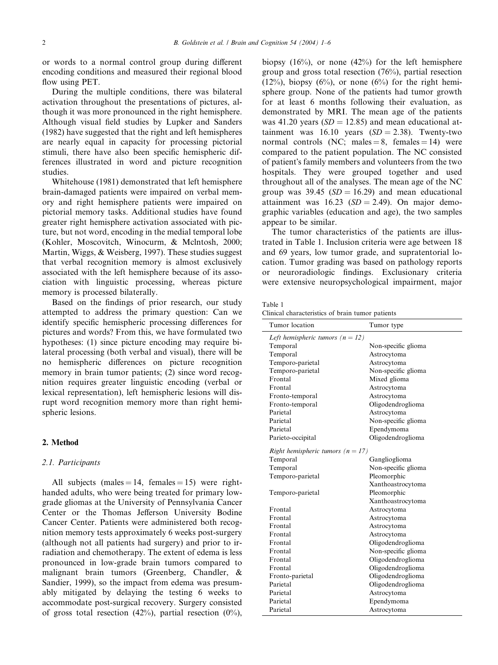or words to a normal control group during different encoding conditions and measured their regional blood flow using PET.

During the multiple conditions, there was bilateral activation throughout the presentations of pictures, although it was more pronounced in the right hemisphere. Although visual field studies by Lupker and Sanders (1982) have suggested that the right and left hemispheres are nearly equal in capacity for processing pictorial stimuli, there have also been specific hemispheric differences illustrated in word and picture recognition studies.

Whitehouse (1981) demonstrated that left hemisphere brain-damaged patients were impaired on verbal memory and right hemisphere patients were impaired on pictorial memory tasks. Additional studies have found greater right hemisphere activation associated with picture, but not word, encoding in the medial temporal lobe (Kohler, Moscovitch, Winocurm, & Mclntosh, 2000; Martin, Wiggs, & Weisberg, 1997). These studies suggest that verbal recognition memory is almost exclusively associated with the left hemisphere because of its association with linguistic processing, whereas picture memory is processed bilaterally.

Based on the findings of prior research, our study attempted to address the primary question: Can we identify specific hemispheric processing differences for pictures and words? From this, we have formulated two hypotheses: (1) since picture encoding may require bilateral processing (both verbal and visual), there will be no hemispheric differences on picture recognition memory in brain tumor patients; (2) since word recognition requires greater linguistic encoding (verbal or lexical representation), left hemispheric lesions will disrupt word recognition memory more than right hemispheric lesions.

### 2. Method

#### 2.1. Participants

All subjects (males  $= 14$ , females  $= 15$ ) were righthanded adults, who were being treated for primary lowgrade gliomas at the University of Pennsylvania Cancer Center or the Thomas Jefferson University Bodine Cancer Center. Patients were administered both recognition memory tests approximately 6 weeks post-surgery (although not all patients had surgery) and prior to irradiation and chemotherapy. The extent of edema is less pronounced in low-grade brain tumors compared to malignant brain tumors (Greenberg, Chandler, & Sandier, 1999), so the impact from edema was presumably mitigated by delaying the testing 6 weeks to accommodate post-surgical recovery. Surgery consisted of gross total resection  $(42%)$ , partial resection  $(0%)$ ,

biopsy  $(16\%)$ , or none  $(42\%)$  for the left hemisphere group and gross total resection (76%), partial resection  $(12\%)$ , biopsy  $(6\%)$ , or none  $(6\%)$  for the right hemisphere group. None of the patients had tumor growth for at least 6 months following their evaluation, as demonstrated by MRI. The mean age of the patients was 41.20 years  $(SD = 12.85)$  and mean educational attainment was  $16.10$  years  $(SD = 2.38)$ . Twenty-two normal controls (NC; males  $= 8$ , females  $= 14$ ) were compared to the patient population. The NC consisted of patient's family members and volunteers from the two hospitals. They were grouped together and used throughout all of the analyses. The mean age of the NC group was 39.45 ( $SD = 16.29$ ) and mean educational attainment was  $16.23$  (SD = 2.49). On major demographic variables (education and age), the two samples appear to be similar.

The tumor characteristics of the patients are illustrated in Table 1. Inclusion criteria were age between 18 and 69 years, low tumor grade, and supratentorial location. Tumor grading was based on pathology reports or neuroradiologic findings. Exclusionary criteria were extensive neuropsychological impairment, major

Clinical characteristics of brain tumor patients

| Tumor location                        | Tumor type          |
|---------------------------------------|---------------------|
| Left hemispheric tumors $(n = 12)$    |                     |
| Temporal                              | Non-specific glioma |
| Temporal                              | Astrocytoma         |
| Temporo-parietal                      | Astrocytoma         |
| Temporo-parietal                      | Non-specific glioma |
| Frontal                               | Mixed glioma        |
| Frontal                               | Astrocytoma         |
| Fronto-temporal                       | Astrocytoma         |
| Fronto-temporal                       | Oligodendroglioma   |
| Parietal                              | Astrocytoma         |
| Parietal                              | Non-specific glioma |
| Parietal                              | Ependymoma          |
| Parieto-occipital                     | Oligodendroglioma   |
| Right hemispheric tumors ( $n = 17$ ) |                     |
| Temporal                              | Ganglioglioma       |
| Temporal                              | Non-specific glioma |
| Temporo-parietal                      | Pleomorphic         |
|                                       | Xanthoastrocytoma   |
| Temporo-parietal                      | Pleomorphic         |
|                                       | Xanthoastrocytoma   |
| Frontal                               | Astrocytoma         |
| Frontal                               | Astrocytoma         |
| Frontal                               | Astrocytoma         |
| Frontal                               | Astrocytoma         |
| Frontal                               | Oligodendroglioma   |
| Frontal                               | Non-specific glioma |
| Frontal                               | Oligodendroglioma   |
| Frontal                               | Oligodendroglioma   |
| Fronto-parietal                       | Oligodendroglioma   |
| Parietal                              | Oligodendroglioma   |
| Parietal                              | Astrocytoma         |
| Parietal                              | Ependymoma          |
| Parietal                              | Astrocytoma         |